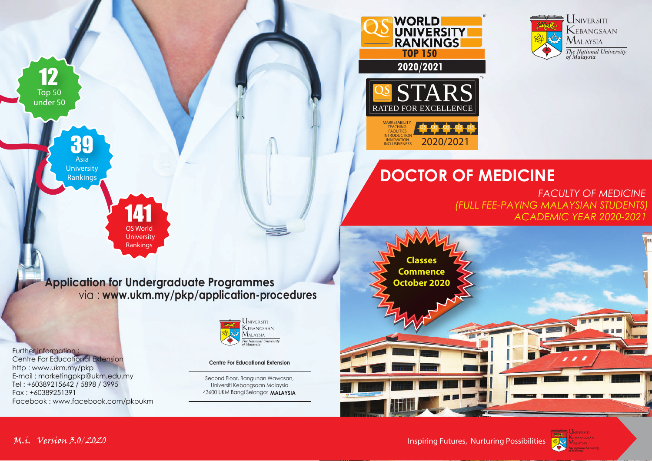

### **DOCTOR OF MEDICINE**

2020/2021

**RANKINGS** 

**UNIVERSITY** 

 **2020/2021**

**WORLD** 

MARKETABILITY TEACHING FACILITIES **INTRODUCTIC INNOVATION** 

RATED FOR EXCEL

*FACULTY OF MEDICINE ACADEMIC YEAR 2020-2021 (FULL FEE-PAYING MALAYSIAN STUDENTS)*



**Application for Undergraduate Programmes** via : **www.ukm.my/pkp/application-procedures**

141 QS World

**University** Rankings

Further information :

Centre For Educational Extension http : www.ukm.my/pkp E-mail : marketingpkp@ukm.edu.my Tel : +60389215642 / 5898 / 3995 Fax : +60389251391 Facebook : www.facebook.com/pkpukm

Asia **University** Rankings

39

Top 50 under 50

12



#### **Centre For Educational Extension**

Second Floor, Bangunan Wawasan, Universiti Kebangsaan Malaysia 43600 UKM Bangi Selangor **MALAYSIA**